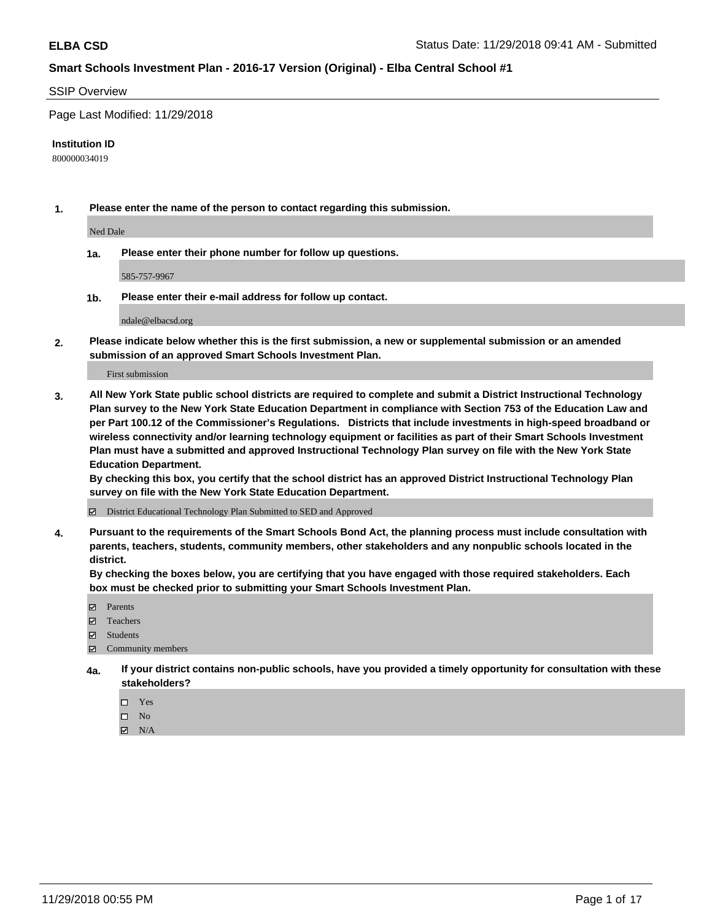#### SSIP Overview

Page Last Modified: 11/29/2018

#### **Institution ID**

800000034019

**1. Please enter the name of the person to contact regarding this submission.**

Ned Dale

**1a. Please enter their phone number for follow up questions.**

585-757-9967

**1b. Please enter their e-mail address for follow up contact.**

ndale@elbacsd.org

**2. Please indicate below whether this is the first submission, a new or supplemental submission or an amended submission of an approved Smart Schools Investment Plan.**

First submission

**3. All New York State public school districts are required to complete and submit a District Instructional Technology Plan survey to the New York State Education Department in compliance with Section 753 of the Education Law and per Part 100.12 of the Commissioner's Regulations. Districts that include investments in high-speed broadband or wireless connectivity and/or learning technology equipment or facilities as part of their Smart Schools Investment Plan must have a submitted and approved Instructional Technology Plan survey on file with the New York State Education Department.** 

**By checking this box, you certify that the school district has an approved District Instructional Technology Plan survey on file with the New York State Education Department.**

District Educational Technology Plan Submitted to SED and Approved

**4. Pursuant to the requirements of the Smart Schools Bond Act, the planning process must include consultation with parents, teachers, students, community members, other stakeholders and any nonpublic schools located in the district.** 

**By checking the boxes below, you are certifying that you have engaged with those required stakeholders. Each box must be checked prior to submitting your Smart Schools Investment Plan.**

- **□** Parents
- Teachers
- Students
- $\boxtimes$  Community members
- **4a. If your district contains non-public schools, have you provided a timely opportunity for consultation with these stakeholders?**
	- $\Box$  Yes
	- $\qquad \qquad$  No
	- $\blacksquare$  N/A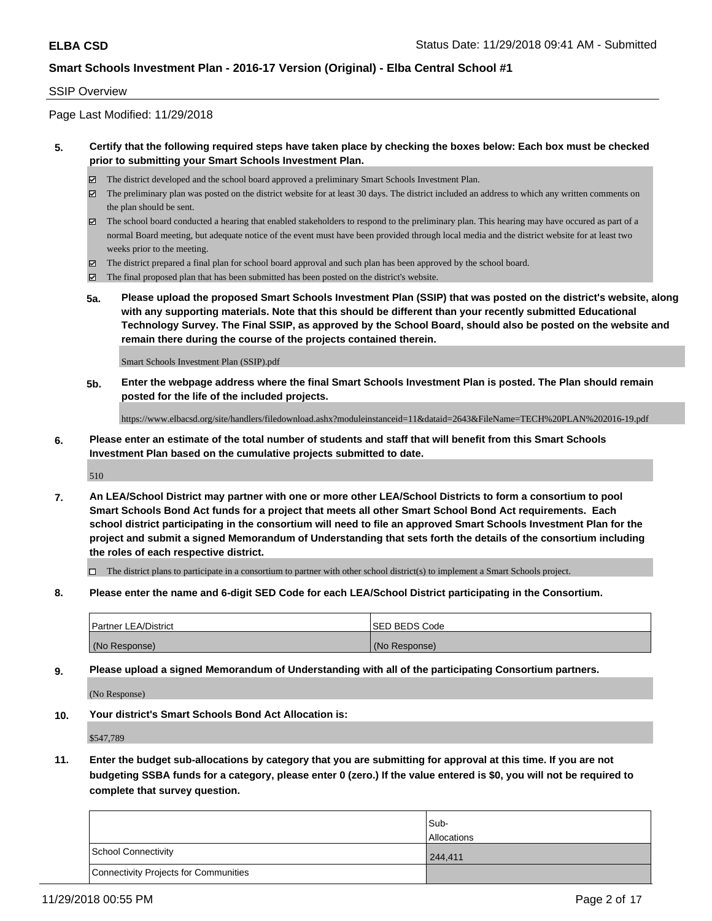#### SSIP Overview

Page Last Modified: 11/29/2018

#### **5. Certify that the following required steps have taken place by checking the boxes below: Each box must be checked prior to submitting your Smart Schools Investment Plan.**

- The district developed and the school board approved a preliminary Smart Schools Investment Plan.
- $\boxtimes$  The preliminary plan was posted on the district website for at least 30 days. The district included an address to which any written comments on the plan should be sent.
- $\boxtimes$  The school board conducted a hearing that enabled stakeholders to respond to the preliminary plan. This hearing may have occured as part of a normal Board meeting, but adequate notice of the event must have been provided through local media and the district website for at least two weeks prior to the meeting.
- The district prepared a final plan for school board approval and such plan has been approved by the school board.
- $\boxtimes$  The final proposed plan that has been submitted has been posted on the district's website.
- **5a. Please upload the proposed Smart Schools Investment Plan (SSIP) that was posted on the district's website, along with any supporting materials. Note that this should be different than your recently submitted Educational Technology Survey. The Final SSIP, as approved by the School Board, should also be posted on the website and remain there during the course of the projects contained therein.**

Smart Schools Investment Plan (SSIP).pdf

**5b. Enter the webpage address where the final Smart Schools Investment Plan is posted. The Plan should remain posted for the life of the included projects.**

https://www.elbacsd.org/site/handlers/filedownload.ashx?moduleinstanceid=11&dataid=2643&FileName=TECH%20PLAN%202016-19.pdf

**6. Please enter an estimate of the total number of students and staff that will benefit from this Smart Schools Investment Plan based on the cumulative projects submitted to date.**

510

**7. An LEA/School District may partner with one or more other LEA/School Districts to form a consortium to pool Smart Schools Bond Act funds for a project that meets all other Smart School Bond Act requirements. Each school district participating in the consortium will need to file an approved Smart Schools Investment Plan for the project and submit a signed Memorandum of Understanding that sets forth the details of the consortium including the roles of each respective district.**

 $\Box$  The district plans to participate in a consortium to partner with other school district(s) to implement a Smart Schools project.

**8. Please enter the name and 6-digit SED Code for each LEA/School District participating in the Consortium.**

| <b>Partner LEA/District</b> | <b>ISED BEDS Code</b> |
|-----------------------------|-----------------------|
| (No Response)               | (No Response)         |

**9. Please upload a signed Memorandum of Understanding with all of the participating Consortium partners.**

(No Response)

**10. Your district's Smart Schools Bond Act Allocation is:**

\$547,789

**11. Enter the budget sub-allocations by category that you are submitting for approval at this time. If you are not budgeting SSBA funds for a category, please enter 0 (zero.) If the value entered is \$0, you will not be required to complete that survey question.**

|                                              | Sub-               |
|----------------------------------------------|--------------------|
|                                              | <b>Allocations</b> |
| <b>School Connectivity</b>                   | 244.411            |
| <b>Connectivity Projects for Communities</b> |                    |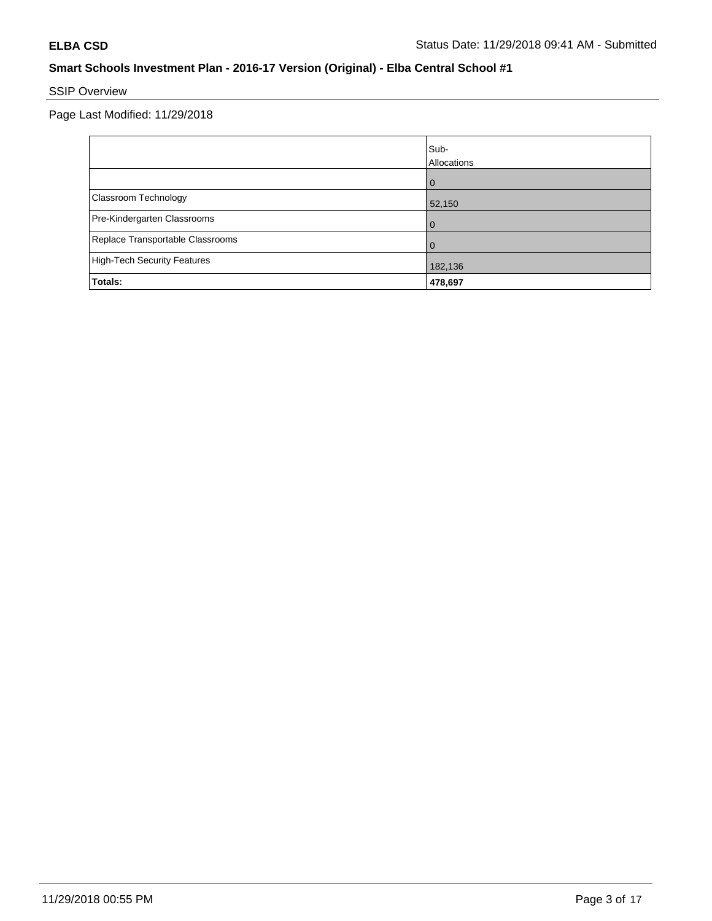# SSIP Overview

Page Last Modified: 11/29/2018

|                                    | Sub-<br>Allocations |
|------------------------------------|---------------------|
|                                    | $\Omega$            |
| Classroom Technology               | 52,150              |
| Pre-Kindergarten Classrooms        | 0                   |
| Replace Transportable Classrooms   | 0                   |
| <b>High-Tech Security Features</b> | 182,136             |
| Totals:                            | 478,697             |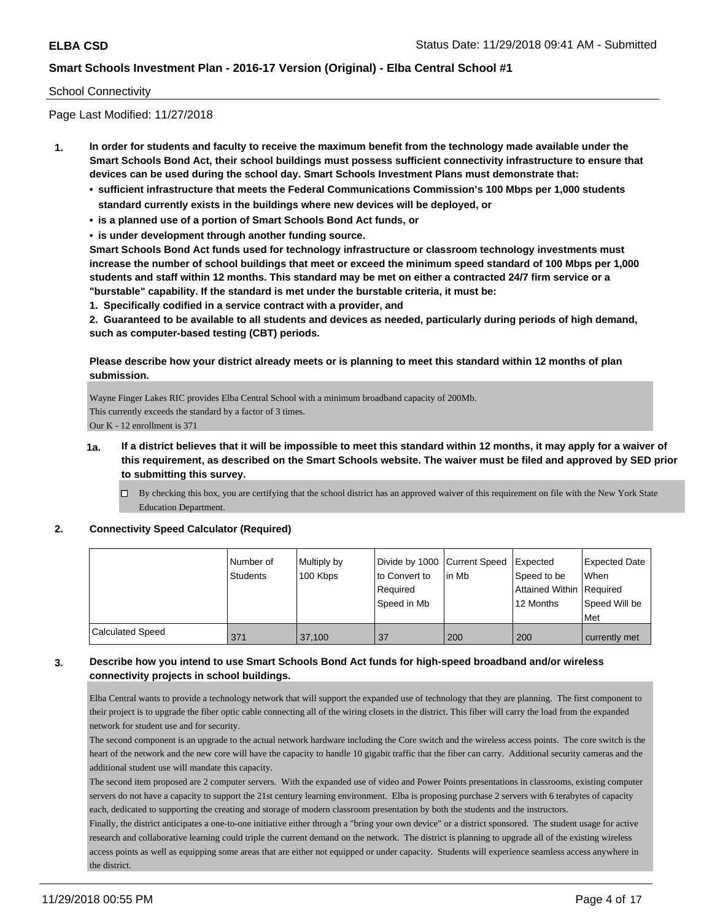#### School Connectivity

Page Last Modified: 11/27/2018

- **1. In order for students and faculty to receive the maximum benefit from the technology made available under the Smart Schools Bond Act, their school buildings must possess sufficient connectivity infrastructure to ensure that devices can be used during the school day. Smart Schools Investment Plans must demonstrate that:**
	- **• sufficient infrastructure that meets the Federal Communications Commission's 100 Mbps per 1,000 students standard currently exists in the buildings where new devices will be deployed, or**
	- **• is a planned use of a portion of Smart Schools Bond Act funds, or**
	- **• is under development through another funding source.**

**Smart Schools Bond Act funds used for technology infrastructure or classroom technology investments must increase the number of school buildings that meet or exceed the minimum speed standard of 100 Mbps per 1,000 students and staff within 12 months. This standard may be met on either a contracted 24/7 firm service or a "burstable" capability. If the standard is met under the burstable criteria, it must be:**

**1. Specifically codified in a service contract with a provider, and**

**2. Guaranteed to be available to all students and devices as needed, particularly during periods of high demand, such as computer-based testing (CBT) periods.**

**Please describe how your district already meets or is planning to meet this standard within 12 months of plan submission.**

Wayne Finger Lakes RIC provides Elba Central School with a minimum broadband capacity of 200Mb. This currently exceeds the standard by a factor of 3 times. Our K - 12 enrollment is 371

- **1a. If a district believes that it will be impossible to meet this standard within 12 months, it may apply for a waiver of this requirement, as described on the Smart Schools website. The waiver must be filed and approved by SED prior to submitting this survey.**
	- $\Box$  By checking this box, you are certifying that the school district has an approved waiver of this requirement on file with the New York State Education Department.

#### **2. Connectivity Speed Calculator (Required)**

|                  | l Number of<br>Students | Multiply by<br>100 Kbps | to Convert to<br>Required<br>Speed in Mb | Divide by 1000 Current Speed Expected<br>lin Mb | Speed to be<br>Attained Within Required<br>12 Months | Expected Date<br>When<br>Speed Will be<br>Met |
|------------------|-------------------------|-------------------------|------------------------------------------|-------------------------------------------------|------------------------------------------------------|-----------------------------------------------|
| Calculated Speed | 371                     | 37.100                  | 37                                       | 200                                             | 200                                                  | currently met                                 |

### **3. Describe how you intend to use Smart Schools Bond Act funds for high-speed broadband and/or wireless connectivity projects in school buildings.**

Elba Central wants to provide a technology network that will support the expanded use of technology that they are planning. The first component to their project is to upgrade the fiber optic cable connecting all of the wiring closets in the district. This fiber will carry the load from the expanded network for student use and for security.

The second component is an upgrade to the actual network hardware including the Core switch and the wireless access points. The core switch is the heart of the network and the new core will have the capacity to handle 10 gigabit traffic that the fiber can carry. Additional security cameras and the additional student use will mandate this capacity.

The second item proposed are 2 computer servers. With the expanded use of video and Power Points presentations in classrooms, existing computer servers do not have a capacity to support the 21st century learning environment. Elba is proposing purchase 2 servers with 6 terabytes of capacity each, dedicated to supporting the creating and storage of modern classroom presentation by both the students and the instructors.

Finally, the district anticipates a one-to-one initiative either through a "bring your own device" or a district sponsored. The student usage for active research and collaborative learning could triple the current demand on the network. The district is planning to upgrade all of the existing wireless access points as well as equipping some areas that are either not equipped or under capacity. Students will experience seamless access anywhere in the district.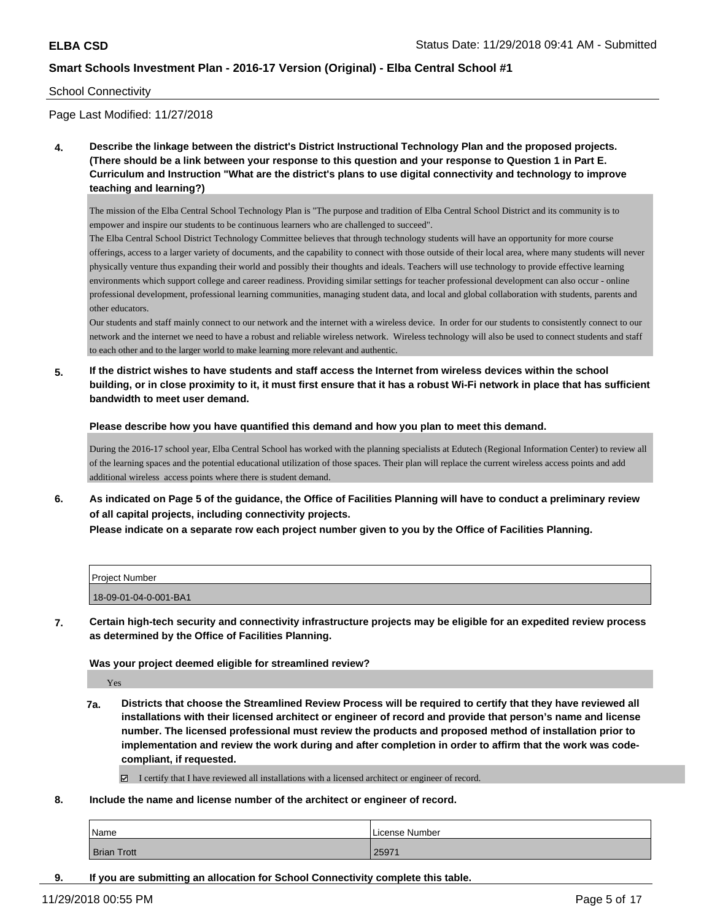#### School Connectivity

Page Last Modified: 11/27/2018

**4. Describe the linkage between the district's District Instructional Technology Plan and the proposed projects. (There should be a link between your response to this question and your response to Question 1 in Part E. Curriculum and Instruction "What are the district's plans to use digital connectivity and technology to improve teaching and learning?)**

The mission of the Elba Central School Technology Plan is "The purpose and tradition of Elba Central School District and its community is to empower and inspire our students to be continuous learners who are challenged to succeed".

The Elba Central School District Technology Committee believes that through technology students will have an opportunity for more course offerings, access to a larger variety of documents, and the capability to connect with those outside of their local area, where many students will never physically venture thus expanding their world and possibly their thoughts and ideals. Teachers will use technology to provide effective learning environments which support college and career readiness. Providing similar settings for teacher professional development can also occur - online professional development, professional learning communities, managing student data, and local and global collaboration with students, parents and other educators.

Our students and staff mainly connect to our network and the internet with a wireless device. In order for our students to consistently connect to our network and the internet we need to have a robust and reliable wireless network. Wireless technology will also be used to connect students and staff to each other and to the larger world to make learning more relevant and authentic.

**5. If the district wishes to have students and staff access the Internet from wireless devices within the school building, or in close proximity to it, it must first ensure that it has a robust Wi-Fi network in place that has sufficient bandwidth to meet user demand.**

**Please describe how you have quantified this demand and how you plan to meet this demand.**

During the 2016-17 school year, Elba Central School has worked with the planning specialists at Edutech (Regional Information Center) to review all of the learning spaces and the potential educational utilization of those spaces. Their plan will replace the current wireless access points and add additional wireless access points where there is student demand.

**6. As indicated on Page 5 of the guidance, the Office of Facilities Planning will have to conduct a preliminary review of all capital projects, including connectivity projects. Please indicate on a separate row each project number given to you by the Office of Facilities Planning.**

| <b>Project Number</b> |  |
|-----------------------|--|
| 18-09-01-04-0-001-BA1 |  |

**7. Certain high-tech security and connectivity infrastructure projects may be eligible for an expedited review process as determined by the Office of Facilities Planning.**

#### **Was your project deemed eligible for streamlined review?**

Yes

- **7a. Districts that choose the Streamlined Review Process will be required to certify that they have reviewed all installations with their licensed architect or engineer of record and provide that person's name and license number. The licensed professional must review the products and proposed method of installation prior to implementation and review the work during and after completion in order to affirm that the work was codecompliant, if requested.**
	- I certify that I have reviewed all installations with a licensed architect or engineer of record.
- **8. Include the name and license number of the architect or engineer of record.**

| Name               | License Number |
|--------------------|----------------|
| <b>Brian Trott</b> | 25971          |

**9. If you are submitting an allocation for School Connectivity complete this table.**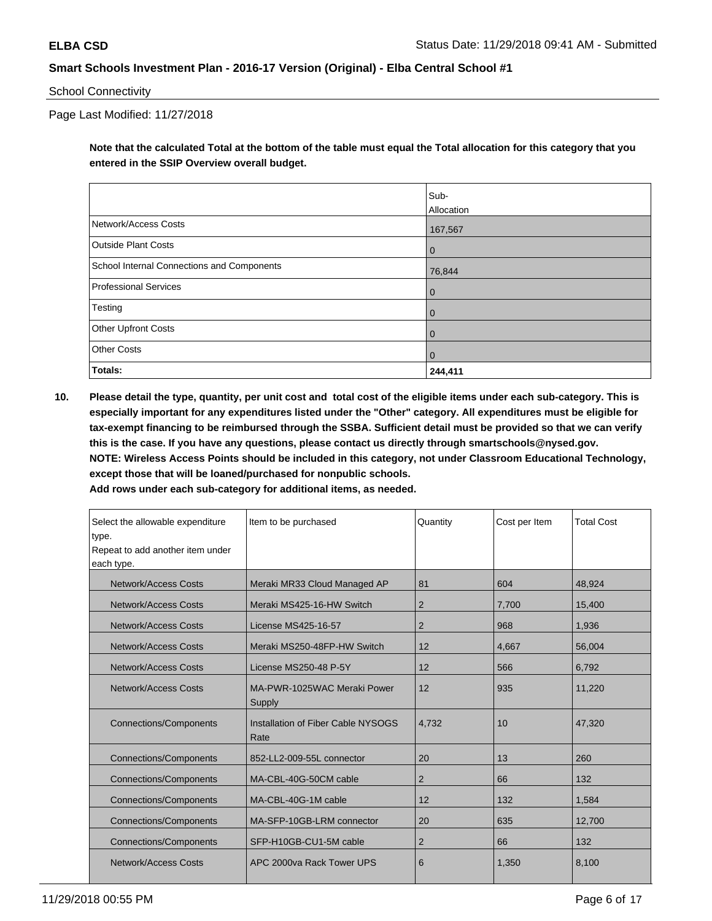School Connectivity

Page Last Modified: 11/27/2018

**Note that the calculated Total at the bottom of the table must equal the Total allocation for this category that you entered in the SSIP Overview overall budget.** 

|                                            | Sub-           |
|--------------------------------------------|----------------|
|                                            | Allocation     |
| Network/Access Costs                       | 167,567        |
| <b>Outside Plant Costs</b>                 | $\overline{0}$ |
| School Internal Connections and Components | 76,844         |
| <b>Professional Services</b>               | $\overline{0}$ |
| Testing                                    | $\overline{0}$ |
| Other Upfront Costs                        | $\overline{0}$ |
| <b>Other Costs</b>                         | $\overline{0}$ |
| Totals:                                    | 244,411        |

**10. Please detail the type, quantity, per unit cost and total cost of the eligible items under each sub-category. This is especially important for any expenditures listed under the "Other" category. All expenditures must be eligible for tax-exempt financing to be reimbursed through the SSBA. Sufficient detail must be provided so that we can verify this is the case. If you have any questions, please contact us directly through smartschools@nysed.gov. NOTE: Wireless Access Points should be included in this category, not under Classroom Educational Technology, except those that will be loaned/purchased for nonpublic schools.**

| Select the allowable expenditure<br>type.<br>Repeat to add another item under<br>each type. | Item to be purchased                       | Quantity       | Cost per Item | <b>Total Cost</b> |
|---------------------------------------------------------------------------------------------|--------------------------------------------|----------------|---------------|-------------------|
| Network/Access Costs                                                                        | Meraki MR33 Cloud Managed AP               | 81             | 604           | 48,924            |
| Network/Access Costs                                                                        | Meraki MS425-16-HW Switch                  | $\overline{2}$ | 7,700         | 15,400            |
| <b>Network/Access Costs</b>                                                                 | License MS425-16-57                        | 2              | 968           | 1,936             |
| Network/Access Costs                                                                        | Meraki MS250-48FP-HW Switch                | 12             | 4,667         | 56,004            |
| Network/Access Costs                                                                        | License MS250-48 P-5Y                      | 12             | 566           | 6,792             |
| Network/Access Costs                                                                        | MA-PWR-1025WAC Meraki Power<br>Supply      | 12             | 935           | 11,220            |
| <b>Connections/Components</b>                                                               | Installation of Fiber Cable NYSOGS<br>Rate | 4,732          | 10            | 47,320            |
| <b>Connections/Components</b>                                                               | 852-LL2-009-55L connector                  | 20             | 13            | 260               |
| <b>Connections/Components</b>                                                               | MA-CBL-40G-50CM cable                      | $\overline{2}$ | 66            | 132               |
| <b>Connections/Components</b>                                                               | MA-CBL-40G-1M cable                        | 12             | 132           | 1,584             |
| <b>Connections/Components</b>                                                               | MA-SFP-10GB-LRM connector                  | 20             | 635           | 12,700            |
| <b>Connections/Components</b>                                                               | SFP-H10GB-CU1-5M cable                     | $\overline{2}$ | 66            | 132               |
| Network/Access Costs                                                                        | APC 2000ya Rack Tower UPS                  | 6              | 1,350         | 8,100             |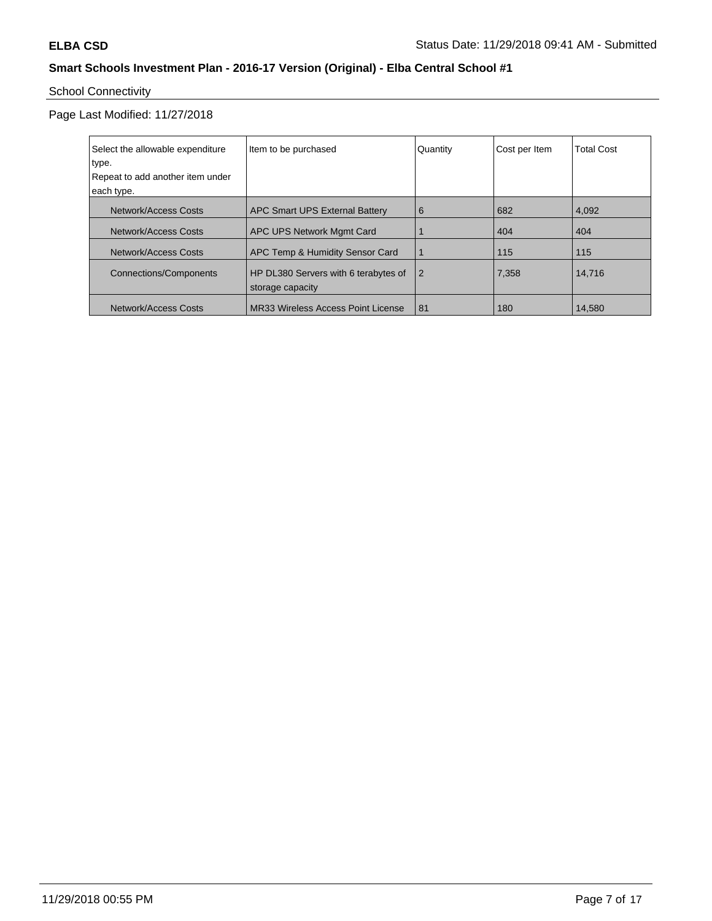# School Connectivity

Page Last Modified: 11/27/2018

| Select the allowable expenditure | Item to be purchased                                     | Quantity       | Cost per Item | <b>Total Cost</b> |
|----------------------------------|----------------------------------------------------------|----------------|---------------|-------------------|
| type.                            |                                                          |                |               |                   |
| Repeat to add another item under |                                                          |                |               |                   |
| each type.                       |                                                          |                |               |                   |
| Network/Access Costs             | APC Smart UPS External Battery                           | 6              | 682           | 4,092             |
| Network/Access Costs             | APC UPS Network Mgmt Card                                |                | 404           | 404               |
| Network/Access Costs             | APC Temp & Humidity Sensor Card                          |                | 115           | 115               |
| <b>Connections/Components</b>    | HP DL380 Servers with 6 terabytes of<br>storage capacity | $\overline{2}$ | 7,358         | 14,716            |
| Network/Access Costs             | MR33 Wireless Access Point License                       | 81             | 180           | 14,580            |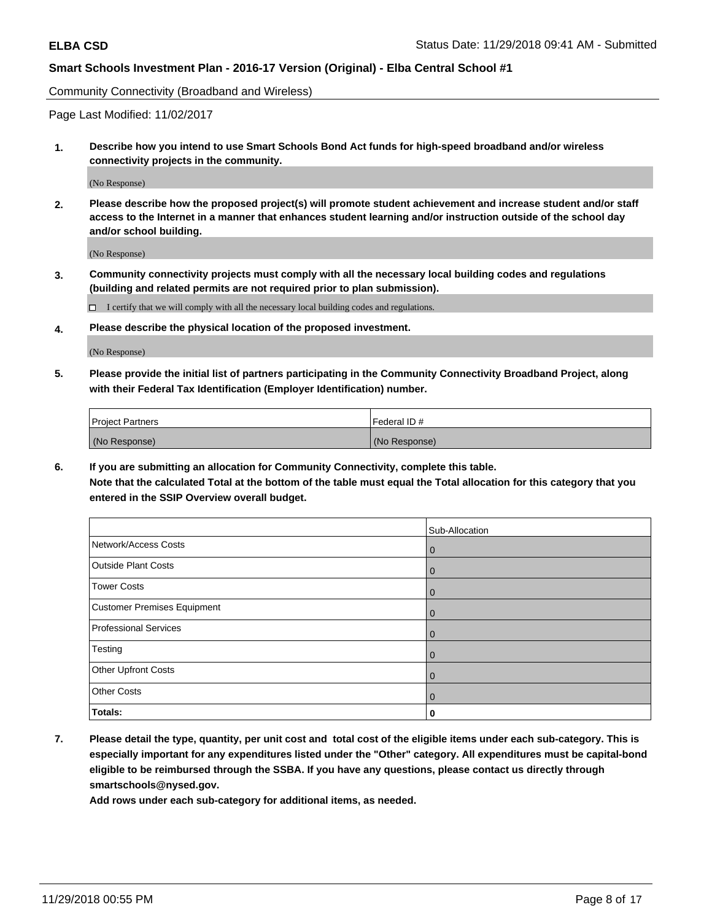Community Connectivity (Broadband and Wireless)

Page Last Modified: 11/02/2017

**1. Describe how you intend to use Smart Schools Bond Act funds for high-speed broadband and/or wireless connectivity projects in the community.**

(No Response)

**2. Please describe how the proposed project(s) will promote student achievement and increase student and/or staff access to the Internet in a manner that enhances student learning and/or instruction outside of the school day and/or school building.**

(No Response)

**3. Community connectivity projects must comply with all the necessary local building codes and regulations (building and related permits are not required prior to plan submission).**

 $\Box$  I certify that we will comply with all the necessary local building codes and regulations.

**4. Please describe the physical location of the proposed investment.**

(No Response)

**5. Please provide the initial list of partners participating in the Community Connectivity Broadband Project, along with their Federal Tax Identification (Employer Identification) number.**

| <b>Project Partners</b> | l Federal ID # |
|-------------------------|----------------|
| (No Response)           | (No Response)  |

**6. If you are submitting an allocation for Community Connectivity, complete this table. Note that the calculated Total at the bottom of the table must equal the Total allocation for this category that you entered in the SSIP Overview overall budget.**

|                              | Sub-Allocation |
|------------------------------|----------------|
| Network/Access Costs         | $\overline{0}$ |
| <b>Outside Plant Costs</b>   | $\overline{0}$ |
| <b>Tower Costs</b>           | $\mathbf 0$    |
| Customer Premises Equipment  | $\mathbf 0$    |
| <b>Professional Services</b> | $\mathbf 0$    |
| Testing                      | $\mathbf 0$    |
| Other Upfront Costs          | $\mathbf 0$    |
| <b>Other Costs</b>           | $\overline{0}$ |
| Totals:                      | 0              |

**7. Please detail the type, quantity, per unit cost and total cost of the eligible items under each sub-category. This is especially important for any expenditures listed under the "Other" category. All expenditures must be capital-bond eligible to be reimbursed through the SSBA. If you have any questions, please contact us directly through smartschools@nysed.gov.**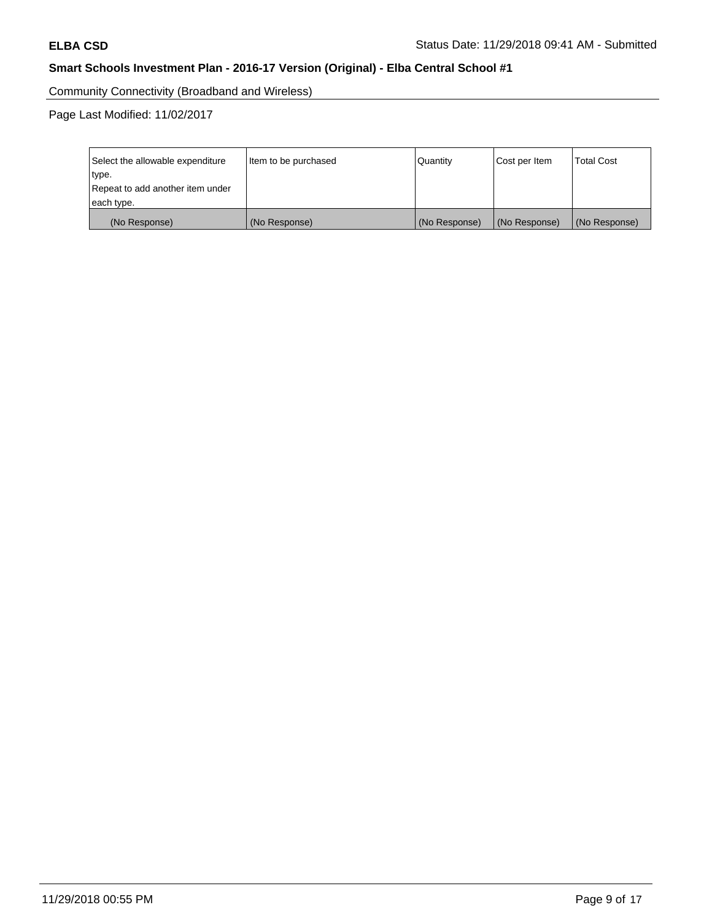Community Connectivity (Broadband and Wireless)

Page Last Modified: 11/02/2017

| Select the allowable expenditure<br>type.<br>Repeat to add another item under | Item to be purchased | Quantity      | Cost per Item | <b>Total Cost</b> |
|-------------------------------------------------------------------------------|----------------------|---------------|---------------|-------------------|
| each type.                                                                    |                      |               |               |                   |
| (No Response)                                                                 | (No Response)        | (No Response) | (No Response) | (No Response)     |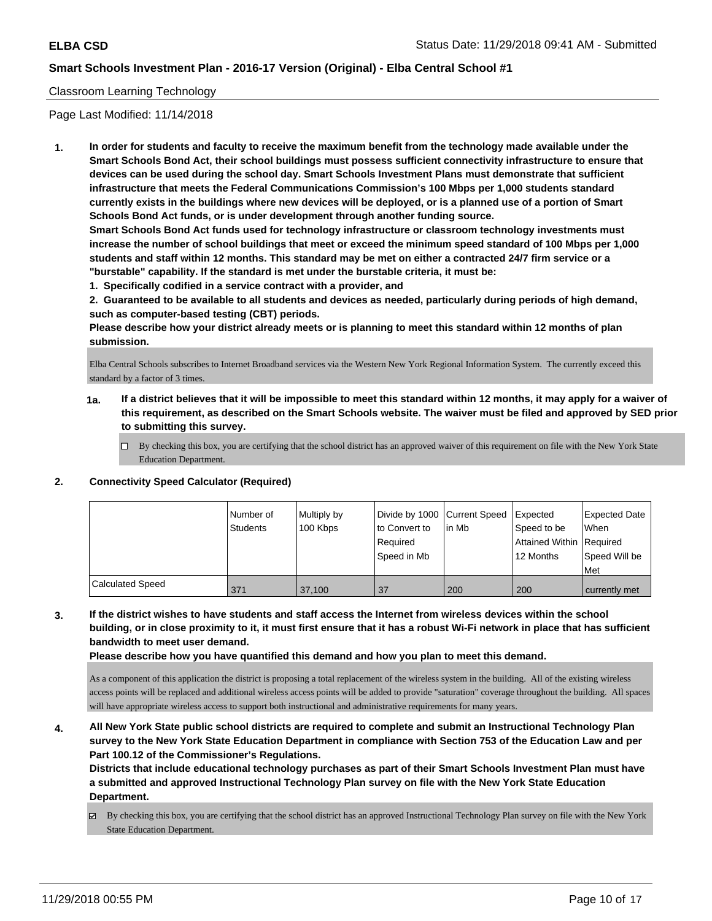#### Classroom Learning Technology

Page Last Modified: 11/14/2018

**1. In order for students and faculty to receive the maximum benefit from the technology made available under the Smart Schools Bond Act, their school buildings must possess sufficient connectivity infrastructure to ensure that devices can be used during the school day. Smart Schools Investment Plans must demonstrate that sufficient infrastructure that meets the Federal Communications Commission's 100 Mbps per 1,000 students standard currently exists in the buildings where new devices will be deployed, or is a planned use of a portion of Smart Schools Bond Act funds, or is under development through another funding source.**

**Smart Schools Bond Act funds used for technology infrastructure or classroom technology investments must increase the number of school buildings that meet or exceed the minimum speed standard of 100 Mbps per 1,000 students and staff within 12 months. This standard may be met on either a contracted 24/7 firm service or a "burstable" capability. If the standard is met under the burstable criteria, it must be:**

**1. Specifically codified in a service contract with a provider, and**

**2. Guaranteed to be available to all students and devices as needed, particularly during periods of high demand, such as computer-based testing (CBT) periods.**

**Please describe how your district already meets or is planning to meet this standard within 12 months of plan submission.**

Elba Central Schools subscribes to Internet Broadband services via the Western New York Regional Information System. The currently exceed this standard by a factor of 3 times.

- **1a. If a district believes that it will be impossible to meet this standard within 12 months, it may apply for a waiver of this requirement, as described on the Smart Schools website. The waiver must be filed and approved by SED prior to submitting this survey.**
	- By checking this box, you are certifying that the school district has an approved waiver of this requirement on file with the New York State Education Department.

#### **2. Connectivity Speed Calculator (Required)**

|                  | I Number of<br><b>Students</b> | Multiply by<br>100 Kbps | Divide by 1000 Current Speed<br>to Convert to<br>l Reauired<br>Speed in Mb | lin Mb | Expected<br>Speed to be<br>Attained Within   Required<br>12 Months | <b>Expected Date</b><br>When<br>Speed Will be<br>l Met |
|------------------|--------------------------------|-------------------------|----------------------------------------------------------------------------|--------|--------------------------------------------------------------------|--------------------------------------------------------|
| Calculated Speed | 371                            | 37.100                  | 37                                                                         | 200    | 200                                                                | currently met                                          |

### **3. If the district wishes to have students and staff access the Internet from wireless devices within the school building, or in close proximity to it, it must first ensure that it has a robust Wi-Fi network in place that has sufficient bandwidth to meet user demand.**

**Please describe how you have quantified this demand and how you plan to meet this demand.**

As a component of this application the district is proposing a total replacement of the wireless system in the building. All of the existing wireless access points will be replaced and additional wireless access points will be added to provide "saturation" coverage throughout the building. All spaces will have appropriate wireless access to support both instructional and administrative requirements for many years.

**4. All New York State public school districts are required to complete and submit an Instructional Technology Plan survey to the New York State Education Department in compliance with Section 753 of the Education Law and per Part 100.12 of the Commissioner's Regulations.**

**Districts that include educational technology purchases as part of their Smart Schools Investment Plan must have a submitted and approved Instructional Technology Plan survey on file with the New York State Education Department.**

By checking this box, you are certifying that the school district has an approved Instructional Technology Plan survey on file with the New York State Education Department.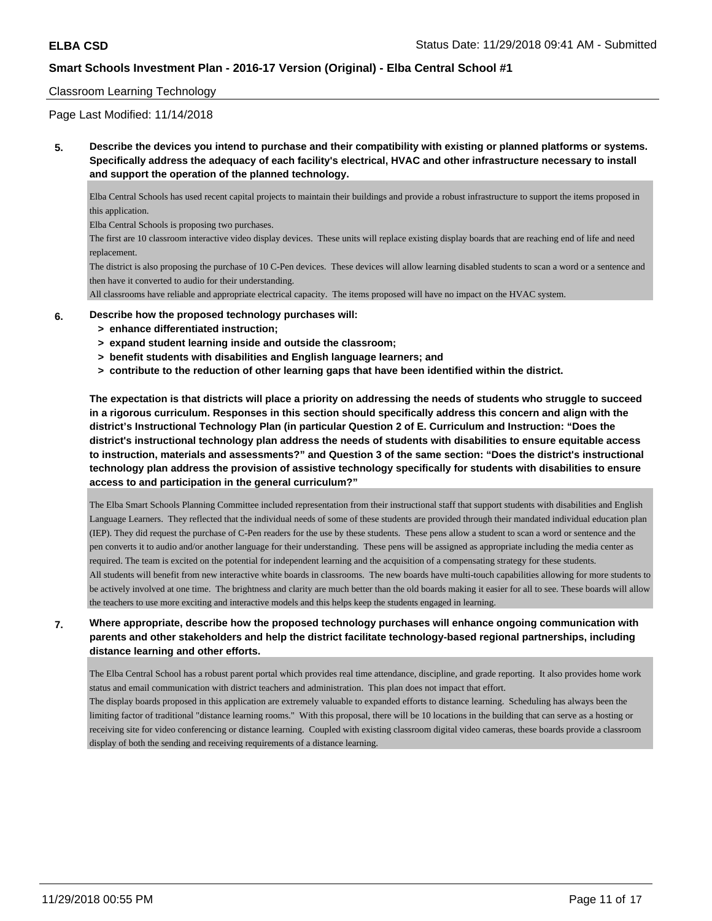#### Classroom Learning Technology

Page Last Modified: 11/14/2018

**5. Describe the devices you intend to purchase and their compatibility with existing or planned platforms or systems. Specifically address the adequacy of each facility's electrical, HVAC and other infrastructure necessary to install and support the operation of the planned technology.**

Elba Central Schools has used recent capital projects to maintain their buildings and provide a robust infrastructure to support the items proposed in this application.

Elba Central Schools is proposing two purchases.

The first are 10 classroom interactive video display devices. These units will replace existing display boards that are reaching end of life and need replacement.

The district is also proposing the purchase of 10 C-Pen devices. These devices will allow learning disabled students to scan a word or a sentence and then have it converted to audio for their understanding.

All classrooms have reliable and appropriate electrical capacity. The items proposed will have no impact on the HVAC system.

- **6. Describe how the proposed technology purchases will:**
	- **> enhance differentiated instruction;**
	- **> expand student learning inside and outside the classroom;**
	- **> benefit students with disabilities and English language learners; and**
	- **> contribute to the reduction of other learning gaps that have been identified within the district.**

**The expectation is that districts will place a priority on addressing the needs of students who struggle to succeed in a rigorous curriculum. Responses in this section should specifically address this concern and align with the district's Instructional Technology Plan (in particular Question 2 of E. Curriculum and Instruction: "Does the district's instructional technology plan address the needs of students with disabilities to ensure equitable access to instruction, materials and assessments?" and Question 3 of the same section: "Does the district's instructional technology plan address the provision of assistive technology specifically for students with disabilities to ensure access to and participation in the general curriculum?"**

The Elba Smart Schools Planning Committee included representation from their instructional staff that support students with disabilities and English Language Learners. They reflected that the individual needs of some of these students are provided through their mandated individual education plan (IEP). They did request the purchase of C-Pen readers for the use by these students. These pens allow a student to scan a word or sentence and the pen converts it to audio and/or another language for their understanding. These pens will be assigned as appropriate including the media center as required. The team is excited on the potential for independent learning and the acquisition of a compensating strategy for these students. All students will benefit from new interactive white boards in classrooms. The new boards have multi-touch capabilities allowing for more students to be actively involved at one time. The brightness and clarity are much better than the old boards making it easier for all to see. These boards will allow the teachers to use more exciting and interactive models and this helps keep the students engaged in learning.

#### **7. Where appropriate, describe how the proposed technology purchases will enhance ongoing communication with parents and other stakeholders and help the district facilitate technology-based regional partnerships, including distance learning and other efforts.**

The Elba Central School has a robust parent portal which provides real time attendance, discipline, and grade reporting. It also provides home work status and email communication with district teachers and administration. This plan does not impact that effort.

The display boards proposed in this application are extremely valuable to expanded efforts to distance learning. Scheduling has always been the limiting factor of traditional "distance learning rooms." With this proposal, there will be 10 locations in the building that can serve as a hosting or receiving site for video conferencing or distance learning. Coupled with existing classroom digital video cameras, these boards provide a classroom display of both the sending and receiving requirements of a distance learning.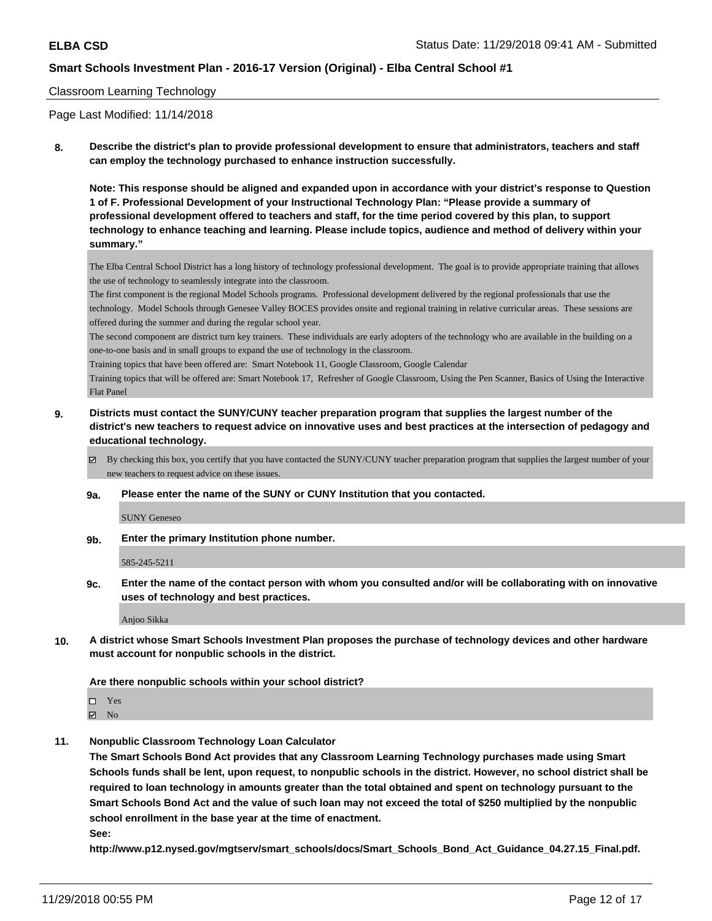#### Classroom Learning Technology

Page Last Modified: 11/14/2018

**8. Describe the district's plan to provide professional development to ensure that administrators, teachers and staff can employ the technology purchased to enhance instruction successfully.**

**Note: This response should be aligned and expanded upon in accordance with your district's response to Question 1 of F. Professional Development of your Instructional Technology Plan: "Please provide a summary of professional development offered to teachers and staff, for the time period covered by this plan, to support technology to enhance teaching and learning. Please include topics, audience and method of delivery within your summary."**

The Elba Central School District has a long history of technology professional development. The goal is to provide appropriate training that allows the use of technology to seamlessly integrate into the classroom.

The first component is the regional Model Schools programs. Professional development delivered by the regional professionals that use the technology. Model Schools through Genesee Valley BOCES provides onsite and regional training in relative curricular areas. These sessions are offered during the summer and during the regular school year.

The second component are district turn key trainers. These individuals are early adopters of the technology who are available in the building on a one-to-one basis and in small groups to expand the use of technology in the classroom.

Training topics that have been offered are: Smart Notebook 11, Google Classroom, Google Calendar

Training topics that will be offered are: Smart Notebook 17, Refresher of Google Classroom, Using the Pen Scanner, Basics of Using the Interactive Flat Panel

- **9. Districts must contact the SUNY/CUNY teacher preparation program that supplies the largest number of the district's new teachers to request advice on innovative uses and best practices at the intersection of pedagogy and educational technology.**
	- By checking this box, you certify that you have contacted the SUNY/CUNY teacher preparation program that supplies the largest number of your new teachers to request advice on these issues.
	- **9a. Please enter the name of the SUNY or CUNY Institution that you contacted.**

SUNY Geneseo

**9b. Enter the primary Institution phone number.**

585-245-5211

**9c. Enter the name of the contact person with whom you consulted and/or will be collaborating with on innovative uses of technology and best practices.**

Anjoo Sikka

**10. A district whose Smart Schools Investment Plan proposes the purchase of technology devices and other hardware must account for nonpublic schools in the district.**

#### **Are there nonpublic schools within your school district?**

Yes  $\boxtimes$  No

**11. Nonpublic Classroom Technology Loan Calculator**

**The Smart Schools Bond Act provides that any Classroom Learning Technology purchases made using Smart Schools funds shall be lent, upon request, to nonpublic schools in the district. However, no school district shall be required to loan technology in amounts greater than the total obtained and spent on technology pursuant to the Smart Schools Bond Act and the value of such loan may not exceed the total of \$250 multiplied by the nonpublic school enrollment in the base year at the time of enactment.**

**See:**

**http://www.p12.nysed.gov/mgtserv/smart\_schools/docs/Smart\_Schools\_Bond\_Act\_Guidance\_04.27.15\_Final.pdf.**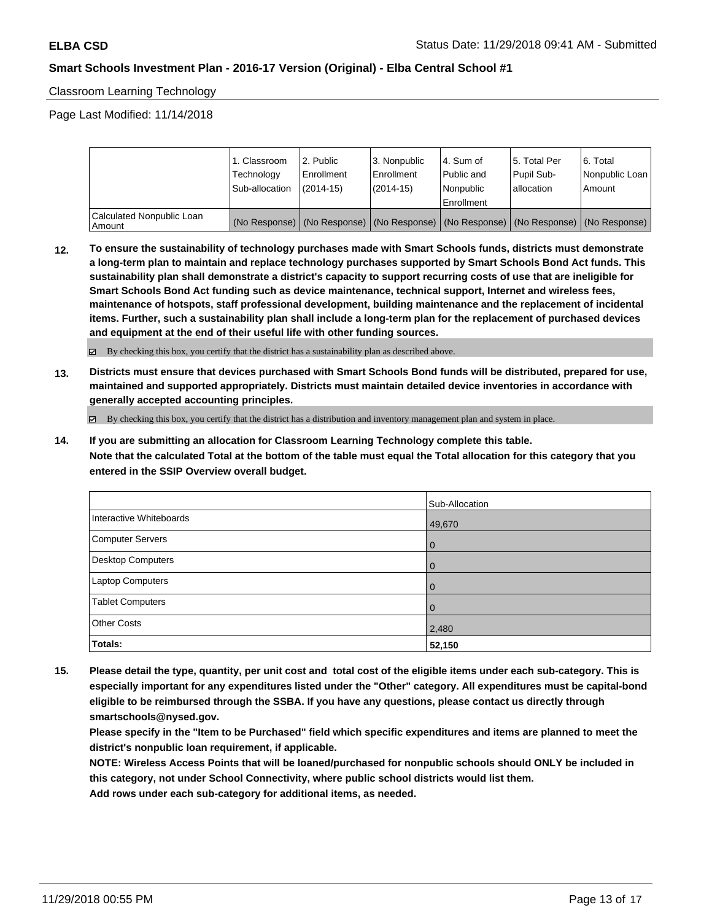Classroom Learning Technology

Page Last Modified: 11/14/2018

|                                       | 1. Classroom<br>Technology<br>Sub-allocation | 2. Public<br>l Enrollment<br>$(2014 - 15)$ | l 3. Nonpublic<br>l Enrollment<br>$(2014 - 15)$ | l 4. Sum of<br>Public and<br>l Nonpublic<br>Enrollment | 15. Total Per<br>Pupil Sub-<br>allocation | l 6. Total<br>Nonpublic Loan<br>l Amount                                                      |
|---------------------------------------|----------------------------------------------|--------------------------------------------|-------------------------------------------------|--------------------------------------------------------|-------------------------------------------|-----------------------------------------------------------------------------------------------|
| Calculated Nonpublic Loan<br>l Amount |                                              |                                            |                                                 |                                                        |                                           | (No Response)   (No Response)   (No Response)   (No Response)   (No Response)   (No Response) |

**12. To ensure the sustainability of technology purchases made with Smart Schools funds, districts must demonstrate a long-term plan to maintain and replace technology purchases supported by Smart Schools Bond Act funds. This sustainability plan shall demonstrate a district's capacity to support recurring costs of use that are ineligible for Smart Schools Bond Act funding such as device maintenance, technical support, Internet and wireless fees, maintenance of hotspots, staff professional development, building maintenance and the replacement of incidental items. Further, such a sustainability plan shall include a long-term plan for the replacement of purchased devices and equipment at the end of their useful life with other funding sources.**

By checking this box, you certify that the district has a sustainability plan as described above.

**13. Districts must ensure that devices purchased with Smart Schools Bond funds will be distributed, prepared for use, maintained and supported appropriately. Districts must maintain detailed device inventories in accordance with generally accepted accounting principles.**

By checking this box, you certify that the district has a distribution and inventory management plan and system in place.

**14. If you are submitting an allocation for Classroom Learning Technology complete this table. Note that the calculated Total at the bottom of the table must equal the Total allocation for this category that you entered in the SSIP Overview overall budget.**

|                          | Sub-Allocation |
|--------------------------|----------------|
| Interactive Whiteboards  | 49,670         |
| <b>Computer Servers</b>  | <b>0</b>       |
| <b>Desktop Computers</b> | l O            |
| <b>Laptop Computers</b>  | l O            |
| <b>Tablet Computers</b>  | l O            |
| <b>Other Costs</b>       | 2,480          |
| Totals:                  | 52,150         |

**15. Please detail the type, quantity, per unit cost and total cost of the eligible items under each sub-category. This is especially important for any expenditures listed under the "Other" category. All expenditures must be capital-bond eligible to be reimbursed through the SSBA. If you have any questions, please contact us directly through smartschools@nysed.gov.**

**Please specify in the "Item to be Purchased" field which specific expenditures and items are planned to meet the district's nonpublic loan requirement, if applicable.**

**NOTE: Wireless Access Points that will be loaned/purchased for nonpublic schools should ONLY be included in this category, not under School Connectivity, where public school districts would list them.**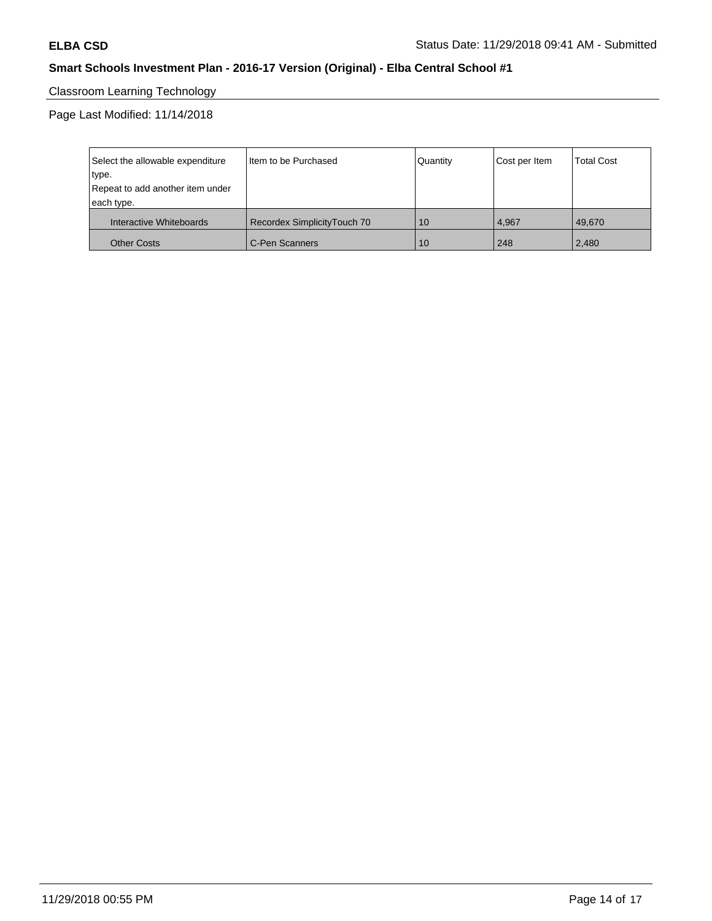# Classroom Learning Technology

Page Last Modified: 11/14/2018

| Select the allowable expenditure | I Item to be Purchased      | Quantity | Cost per Item | <b>Total Cost</b> |
|----------------------------------|-----------------------------|----------|---------------|-------------------|
| type.                            |                             |          |               |                   |
| Repeat to add another item under |                             |          |               |                   |
| each type.                       |                             |          |               |                   |
| Interactive Whiteboards          | Recordex SimplicityTouch 70 | 10       | 4.967         | 49.670            |
| <b>Other Costs</b>               | C-Pen Scanners              | 10       | 248           | 2,480             |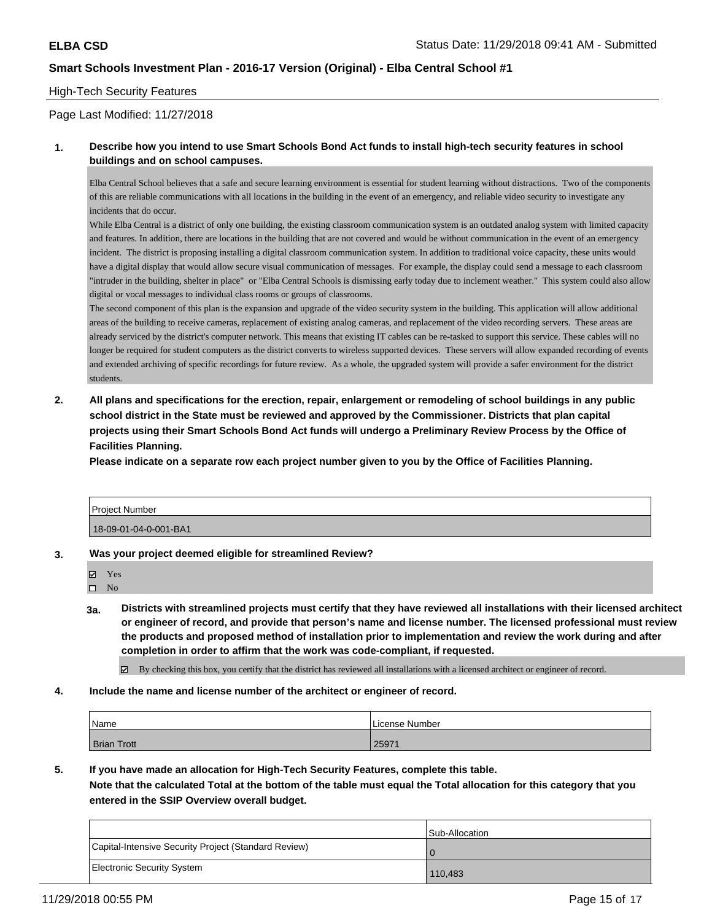#### High-Tech Security Features

#### Page Last Modified: 11/27/2018

#### **1. Describe how you intend to use Smart Schools Bond Act funds to install high-tech security features in school buildings and on school campuses.**

Elba Central School believes that a safe and secure learning environment is essential for student learning without distractions. Two of the components of this are reliable communications with all locations in the building in the event of an emergency, and reliable video security to investigate any incidents that do occur.

While Elba Central is a district of only one building, the existing classroom communication system is an outdated analog system with limited capacity and features. In addition, there are locations in the building that are not covered and would be without communication in the event of an emergency incident. The district is proposing installing a digital classroom communication system. In addition to traditional voice capacity, these units would have a digital display that would allow secure visual communication of messages. For example, the display could send a message to each classroom "intruder in the building, shelter in place" or "Elba Central Schools is dismissing early today due to inclement weather." This system could also allow digital or vocal messages to individual class rooms or groups of classrooms.

The second component of this plan is the expansion and upgrade of the video security system in the building. This application will allow additional areas of the building to receive cameras, replacement of existing analog cameras, and replacement of the video recording servers. These areas are already serviced by the district's computer network. This means that existing IT cables can be re-tasked to support this service. These cables will no longer be required for student computers as the district converts to wireless supported devices. These servers will allow expanded recording of events and extended archiving of specific recordings for future review. As a whole, the upgraded system will provide a safer environment for the district students.

**2. All plans and specifications for the erection, repair, enlargement or remodeling of school buildings in any public school district in the State must be reviewed and approved by the Commissioner. Districts that plan capital projects using their Smart Schools Bond Act funds will undergo a Preliminary Review Process by the Office of Facilities Planning.** 

**Please indicate on a separate row each project number given to you by the Office of Facilities Planning.**

| Project Number        |  |
|-----------------------|--|
| 18-09-01-04-0-001-BA1 |  |

**3. Was your project deemed eligible for streamlined Review?**

Yes

- $\square$  No
- **3a. Districts with streamlined projects must certify that they have reviewed all installations with their licensed architect or engineer of record, and provide that person's name and license number. The licensed professional must review the products and proposed method of installation prior to implementation and review the work during and after completion in order to affirm that the work was code-compliant, if requested.**

By checking this box, you certify that the district has reviewed all installations with a licensed architect or engineer of record.

**4. Include the name and license number of the architect or engineer of record.**

| Name               | License Number |
|--------------------|----------------|
| <b>Brian Trott</b> | 25971          |

**5. If you have made an allocation for High-Tech Security Features, complete this table.**

**Note that the calculated Total at the bottom of the table must equal the Total allocation for this category that you entered in the SSIP Overview overall budget.**

|                                                      | Sub-Allocation |
|------------------------------------------------------|----------------|
| Capital-Intensive Security Project (Standard Review) | l 0            |
| Electronic Security System                           | 110,483        |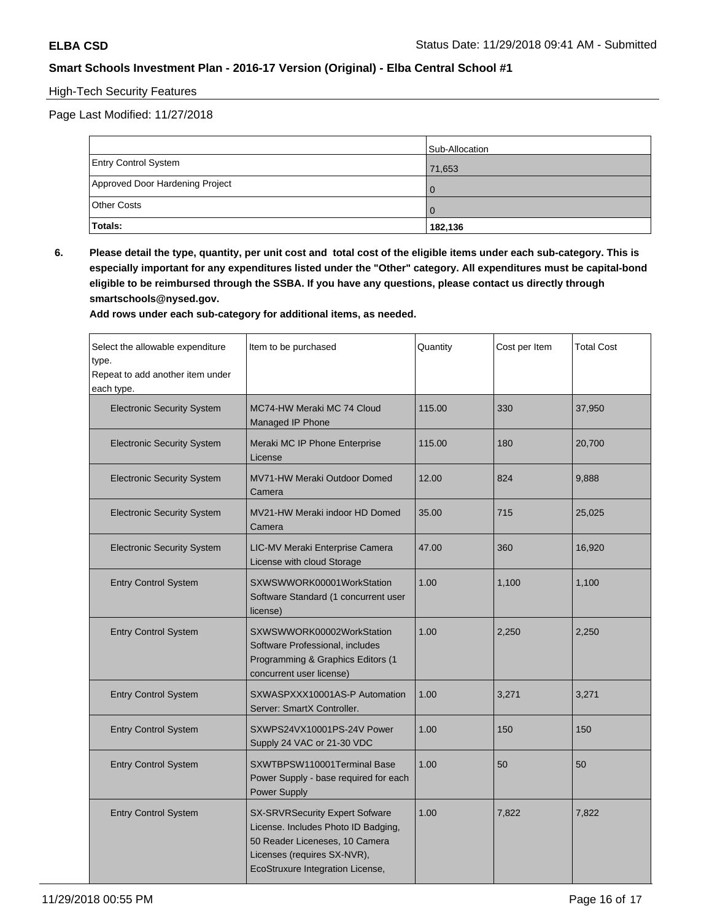### High-Tech Security Features

Page Last Modified: 11/27/2018

|                                 | Sub-Allocation |
|---------------------------------|----------------|
| <b>Entry Control System</b>     | 71,653         |
| Approved Door Hardening Project | $\Omega$       |
| <b>Other Costs</b>              | $\Omega$       |
| Totals:                         | 182,136        |

**6. Please detail the type, quantity, per unit cost and total cost of the eligible items under each sub-category. This is especially important for any expenditures listed under the "Other" category. All expenditures must be capital-bond eligible to be reimbursed through the SSBA. If you have any questions, please contact us directly through smartschools@nysed.gov.**

| Select the allowable expenditure<br>type.<br>Repeat to add another item under<br>each type. | Item to be purchased                                                                                                                                                       | Quantity | Cost per Item | <b>Total Cost</b> |
|---------------------------------------------------------------------------------------------|----------------------------------------------------------------------------------------------------------------------------------------------------------------------------|----------|---------------|-------------------|
| <b>Electronic Security System</b>                                                           | MC74-HW Meraki MC 74 Cloud<br>Managed IP Phone                                                                                                                             | 115.00   | 330           | 37,950            |
| <b>Electronic Security System</b>                                                           | Meraki MC IP Phone Enterprise<br>License                                                                                                                                   | 115.00   | 180           | 20,700            |
| <b>Electronic Security System</b>                                                           | MV71-HW Meraki Outdoor Domed<br>Camera                                                                                                                                     | 12.00    | 824           | 9,888             |
| <b>Electronic Security System</b>                                                           | MV21-HW Meraki indoor HD Domed<br>Camera                                                                                                                                   | 35.00    | 715           | 25,025            |
| <b>Electronic Security System</b>                                                           | LIC-MV Meraki Enterprise Camera<br>License with cloud Storage                                                                                                              | 47.00    | 360           | 16,920            |
| <b>Entry Control System</b>                                                                 | SXWSWWORK00001WorkStation<br>Software Standard (1 concurrent user<br>license)                                                                                              | 1.00     | 1,100         | 1,100             |
| <b>Entry Control System</b>                                                                 | SXWSWWORK00002WorkStation<br>Software Professional, includes<br>Programming & Graphics Editors (1<br>concurrent user license)                                              | 1.00     | 2,250         | 2,250             |
| <b>Entry Control System</b>                                                                 | SXWASPXXX10001AS-P Automation<br>Server: SmartX Controller.                                                                                                                | 1.00     | 3,271         | 3,271             |
| <b>Entry Control System</b>                                                                 | SXWPS24VX10001PS-24V Power<br>Supply 24 VAC or 21-30 VDC                                                                                                                   | 1.00     | 150           | 150               |
| <b>Entry Control System</b>                                                                 | SXWTBPSW110001Terminal Base<br>Power Supply - base required for each<br>Power Supply                                                                                       | 1.00     | 50            | 50                |
| <b>Entry Control System</b>                                                                 | SX-SRVRSecurity Expert Sofware<br>License. Includes Photo ID Badging,<br>50 Reader Liceneses, 10 Camera<br>Licenses (requires SX-NVR),<br>EcoStruxure Integration License, | 1.00     | 7,822         | 7,822             |